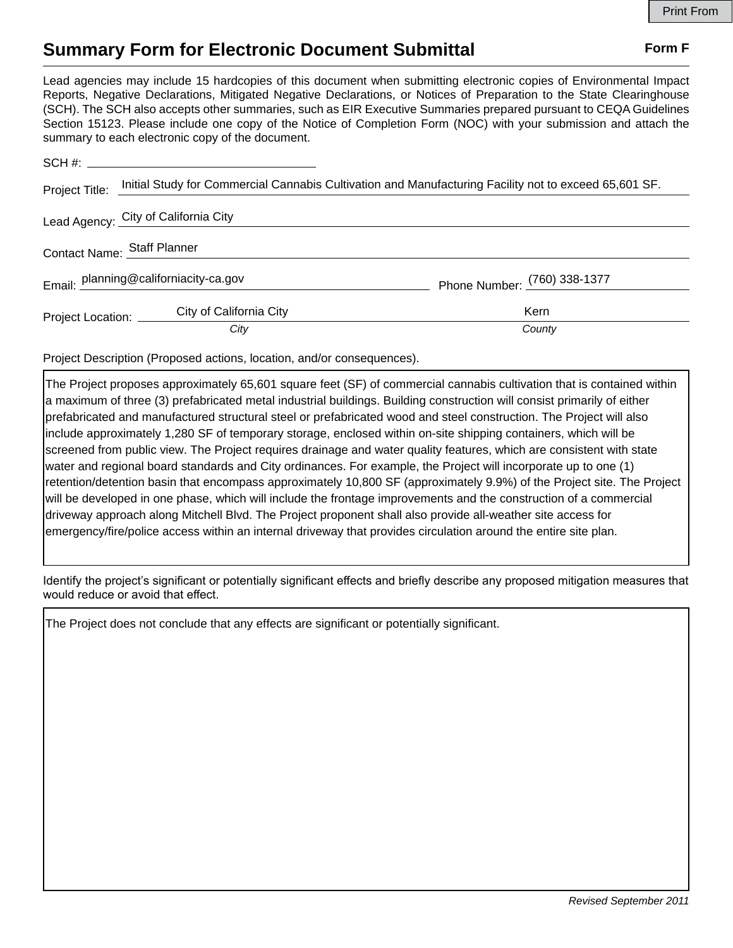## **Summary Form for Electronic Document Submittal Form F Form F**

Lead agencies may include 15 hardcopies of this document when submitting electronic copies of Environmental Impact Reports, Negative Declarations, Mitigated Negative Declarations, or Notices of Preparation to the State Clearinghouse (SCH). The SCH also accepts other summaries, such as EIR Executive Summaries prepared pursuant to CEQA Guidelines Section 15123. Please include one copy of the Notice of Completion Form (NOC) with your submission and attach the summary to each electronic copy of the document.

| Project Title:              | Initial Study for Commercial Cannabis Cultivation and Manufacturing Facility not to exceed 65,601 SF. |                              |
|-----------------------------|-------------------------------------------------------------------------------------------------------|------------------------------|
|                             | Lead Agency: City of California City                                                                  |                              |
| Contact Name: Staff Planner |                                                                                                       |                              |
|                             | Email: planning@californiacity-ca.gov                                                                 | Phone Number: (760) 338-1377 |
| Project Location: _____     | City of California City                                                                               | Kern                         |
|                             | City                                                                                                  | County                       |

Project Description (Proposed actions, location, and/or consequences).

The Project proposes approximately 65,601 square feet (SF) of commercial cannabis cultivation that is contained within a maximum of three (3) prefabricated metal industrial buildings. Building construction will consist primarily of either prefabricated and manufactured structural steel or prefabricated wood and steel construction. The Project will also include approximately 1,280 SF of temporary storage, enclosed within on-site shipping containers, which will be screened from public view. The Project requires drainage and water quality features, which are consistent with state water and regional board standards and City ordinances. For example, the Project will incorporate up to one (1) retention/detention basin that encompass approximately 10,800 SF (approximately 9.9%) of the Project site. The Project will be developed in one phase, which will include the frontage improvements and the construction of a commercial driveway approach along Mitchell Blvd. The Project proponent shall also provide all-weather site access for emergency/fire/police access within an internal driveway that provides circulation around the entire site plan.

Identify the project's significant or potentially significant effects and briefly describe any proposed mitigation measures that would reduce or avoid that effect.

The Project does not conclude that any effects are significant or potentially significant.